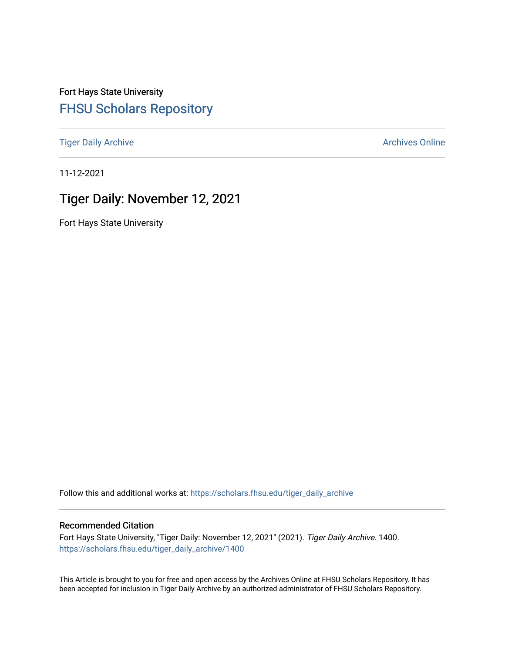Fort Hays State University [FHSU Scholars Repository](https://scholars.fhsu.edu/) 

[Tiger Daily Archive](https://scholars.fhsu.edu/tiger_daily_archive) **Archives** Online Archives Online

11-12-2021

# Tiger Daily: November 12, 2021

Fort Hays State University

Follow this and additional works at: [https://scholars.fhsu.edu/tiger\\_daily\\_archive](https://scholars.fhsu.edu/tiger_daily_archive?utm_source=scholars.fhsu.edu%2Ftiger_daily_archive%2F1400&utm_medium=PDF&utm_campaign=PDFCoverPages)

#### Recommended Citation

Fort Hays State University, "Tiger Daily: November 12, 2021" (2021). Tiger Daily Archive. 1400. [https://scholars.fhsu.edu/tiger\\_daily\\_archive/1400](https://scholars.fhsu.edu/tiger_daily_archive/1400?utm_source=scholars.fhsu.edu%2Ftiger_daily_archive%2F1400&utm_medium=PDF&utm_campaign=PDFCoverPages)

This Article is brought to you for free and open access by the Archives Online at FHSU Scholars Repository. It has been accepted for inclusion in Tiger Daily Archive by an authorized administrator of FHSU Scholars Repository.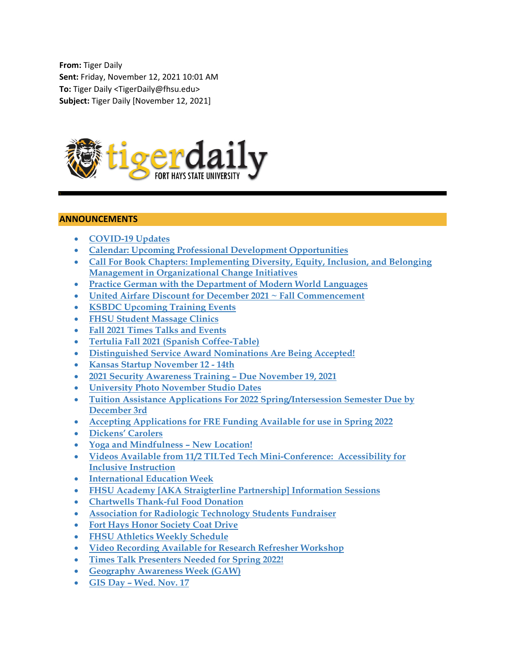**From:** Tiger Daily **Sent:** Friday, November 12, 2021 10:01 AM **To:** Tiger Daily <TigerDaily@fhsu.edu> **Subject:** Tiger Daily [November 12, 2021]



### **ANNOUNCEMENTS**

- **COVID-19 Updates**
- **Calendar: Upcoming Professional Development Opportunities**
- **Call For Book Chapters: Implementing Diversity, Equity, Inclusion, and Belonging Management in Organizational Change Initiatives**
- **Practice German with the Department of Modern World Languages**
- **United Airfare Discount for December 2021 ~ Fall Commencement**
- **KSBDC Upcoming Training Events**
- **FHSU Student Massage Clinics**
- **Fall 2021 Times Talks and Events**
- **Tertulia Fall 2021 (Spanish Coffee-Table)**
- **Distinguished Service Award Nominations Are Being Accepted!**
- **Kansas Startup November 12 14th**
- **2021 Security Awareness Training Due November 19, 2021**
- **University Photo November Studio Dates**
- **Tuition Assistance Applications For 2022 Spring/Intersession Semester Due by December 3rd**
- **Accepting Applications for FRE Funding Available for use in Spring 2022**
- **Dickens' Carolers**
- **Yoga and Mindfulness New Location!**
- **Videos Available from 11/2 TILTed Tech Mini-Conference: Accessibility for Inclusive Instruction**
- **International Education Week**
- **FHSU Academy [AKA Straigterline Partnership] Information Sessions**
- **Chartwells Thank-ful Food Donation**
- **Association for Radiologic Technology Students Fundraiser**
- **Fort Hays Honor Society Coat Drive**
- **FHSU Athletics Weekly Schedule**
- **Video Recording Available for Research Refresher Workshop**
- **Times Talk Presenters Needed for Spring 2022!**
- **Geography Awareness Week (GAW)**
- **GIS Day Wed. Nov. 17**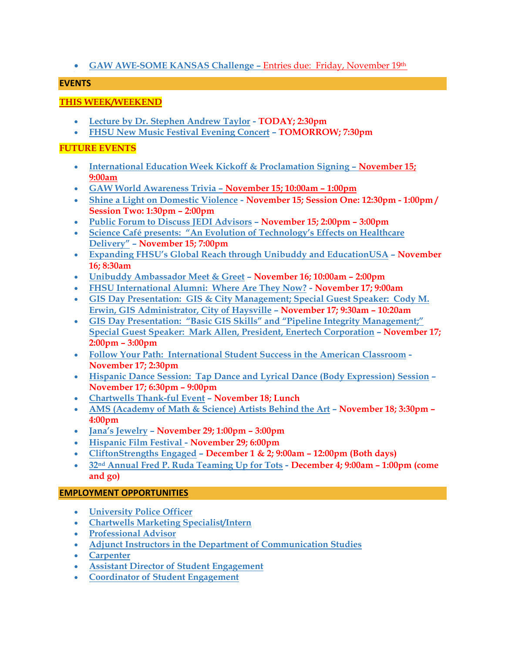# **GAW AWE-SOME KANSAS Challenge –** Entries due: Friday, November 19th

### **EVENTS**

# **THIS WEEK/WEEKEND**

- **Lecture by Dr. Stephen Andrew Taylor TODAY; 2:30pm**
- **FHSU New Music Festival Evening Concert TOMORROW; 7:30pm**

### **FUTURE EVENTS**

- **International Education Week Kickoff & Proclamation Signing November 15; 9:00am**
- **GAW World Awareness Trivia November 15; 10:00am 1:00pm**
- **Shine a Light on Domestic Violence November 15; Session One: 12:30pm 1:00pm / Session Two: 1:30pm – 2:00pm**
- **Public Forum to Discuss JEDI Advisors November 15; 2:00pm 3:00pm**
- **Science Café presents: "An Evolution of Technology's Effects on Healthcare Delivery" – November 15; 7:00pm**
- **Expanding FHSU's Global Reach through Unibuddy and EducationUSA November 16; 8:30am**
- **Unibuddy Ambassador Meet & Greet November 16; 10:00am 2:00pm**
- **FHSU International Alumni: Where Are They Now? November 17; 9:00am**
- **GIS Day Presentation: GIS & City Management; Special Guest Speaker: Cody M. Erwin, GIS Administrator, City of Haysville – November 17; 9:30am – 10:20am**
- **GIS Day Presentation: "Basic GIS Skills" and "Pipeline Integrity Management;" Special Guest Speaker: Mark Allen, President, Enertech Corporation – November 17; 2:00pm – 3:00pm**
- **Follow Your Path: International Student Success in the American Classroom November 17; 2:30pm**
- **Hispanic Dance Session: Tap Dance and Lyrical Dance (Body Expression) Session – November 17; 6:30pm – 9:00pm**
- **Chartwells Thank-ful Event November 18; Lunch**
- **AMS (Academy of Math & Science) Artists Behind the Art November 18; 3:30pm 4:00pm**
- **Jana's Jewelry November 29; 1:00pm 3:00pm**
- **Hispanic Film Festival November 29; 6:00pm**
- **CliftonStrengths Engaged – December 1 & 2; 9:00am 12:00pm (Both days)**
- **32nd Annual Fred P. Ruda Teaming Up for Tots December 4; 9:00am 1:00pm (come and go)**

### **EMPLOYMENT OPPORTUNITIES**

- **University Police Officer**
- **Chartwells Marketing Specialist/Intern**
- **Professional Advisor**
- **Adjunct Instructors in the Department of Communication Studies**
- **Carpenter**
- **Assistant Director of Student Engagement**
- **Coordinator of Student Engagement**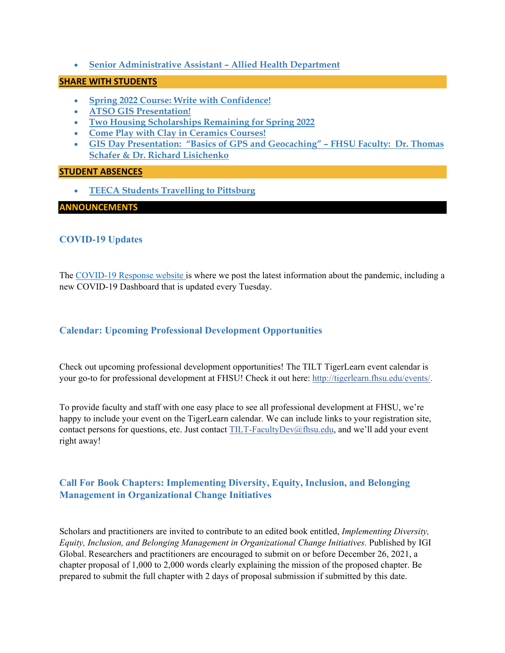**Senior Administrative Assistant – Allied Health Department** 

### **SHARE WITH STUDENTS**

- **Spring 2022 Course: Write with Confidence!**
- **ATSO GIS Presentation!**
- **Two Housing Scholarships Remaining for Spring 2022**
- **Come Play with Clay in Ceramics Courses!**
- **GIS Day Presentation: "Basics of GPS and Geocaching" FHSU Faculty: Dr. Thomas Schafer & Dr. Richard Lisichenko**

#### **STUDENT ABSENCES**

**TEECA Students Travelling to Pittsburg** 

#### **ANNOUNCEMENTS**

### **COVID-19 Updates**

The COVID-19 Response website is where we post the latest information about the pandemic, including a new COVID-19 Dashboard that is updated every Tuesday.

### **Calendar: Upcoming Professional Development Opportunities**

Check out upcoming professional development opportunities! The TILT TigerLearn event calendar is your go-to for professional development at FHSU! Check it out here: http://tigerlearn.fhsu.edu/events/.

To provide faculty and staff with one easy place to see all professional development at FHSU, we're happy to include your event on the TigerLearn calendar. We can include links to your registration site, contact persons for questions, etc. Just contact TILT-FacultyDev@fhsu.edu, and we'll add your event right away!

# **Call For Book Chapters: Implementing Diversity, Equity, Inclusion, and Belonging Management in Organizational Change Initiatives**

Scholars and practitioners are invited to contribute to an edited book entitled, *Implementing Diversity, Equity, Inclusion, and Belonging Management in Organizational Change Initiatives.* Published by IGI Global. Researchers and practitioners are encouraged to submit on or before December 26, 2021, a chapter proposal of 1,000 to 2,000 words clearly explaining the mission of the proposed chapter. Be prepared to submit the full chapter with 2 days of proposal submission if submitted by this date.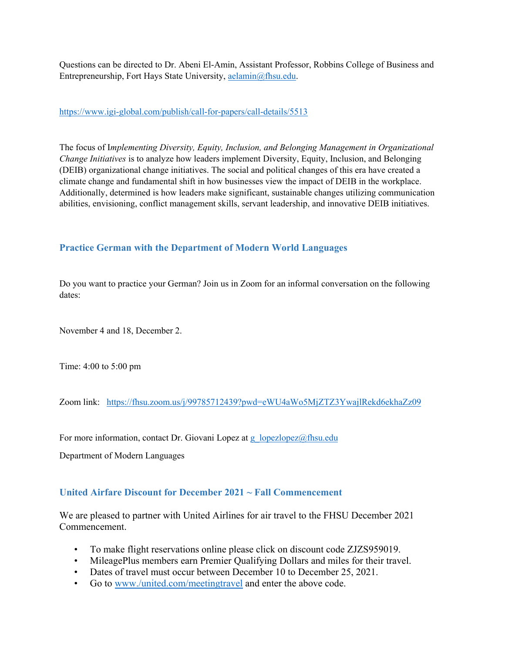Questions can be directed to Dr. Abeni El-Amin, Assistant Professor, Robbins College of Business and Entrepreneurship, Fort Hays State University, aelamin@fhsu.edu.

#### https://www.igi-global.com/publish/call-for-papers/call-details/5513

The focus of I*mplementing Diversity, Equity, Inclusion, and Belonging Management in Organizational Change Initiatives* is to analyze how leaders implement Diversity, Equity, Inclusion, and Belonging (DEIB) organizational change initiatives. The social and political changes of this era have created a climate change and fundamental shift in how businesses view the impact of DEIB in the workplace. Additionally, determined is how leaders make significant, sustainable changes utilizing communication abilities, envisioning, conflict management skills, servant leadership, and innovative DEIB initiatives.

# **Practice German with the Department of Modern World Languages**

Do you want to practice your German? Join us in Zoom for an informal conversation on the following dates:

November 4 and 18, December 2.

Time: 4:00 to 5:00 pm

Zoom link: https://fhsu.zoom.us/j/99785712439?pwd=eWU4aWo5MjZTZ3YwajlRekd6ekhaZz09

For more information, contact Dr. Giovani Lopez at g\_lopezlopez@fhsu.edu

Department of Modern Languages

### **United Airfare Discount for December 2021 ~ Fall Commencement**

We are pleased to partner with United Airlines for air travel to the FHSU December 2021 Commencement.

- To make flight reservations online please click on discount code ZJZS959019.
- MileagePlus members earn Premier Qualifying Dollars and miles for their travel.
- Dates of travel must occur between December 10 to December 25, 2021.
- Go to www./united.com/meetingtravel and enter the above code.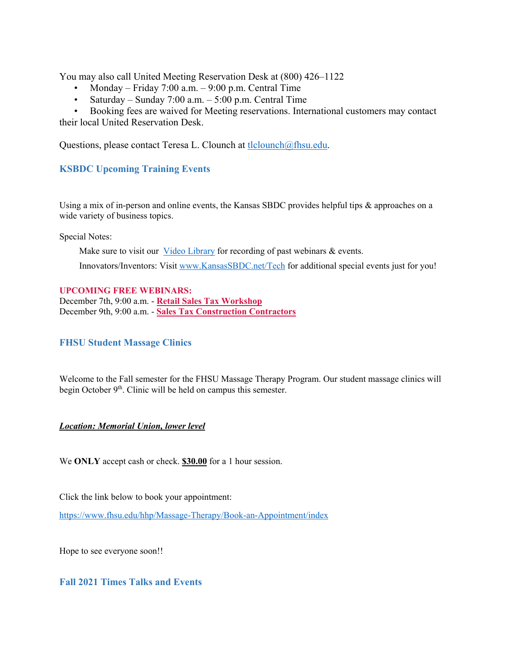You may also call United Meeting Reservation Desk at (800) 426–1122

- Monday Friday 7:00 a.m.  $9:00$  p.m. Central Time
- Saturday Sunday 7:00 a.m.  $-5:00$  p.m. Central Time

• Booking fees are waived for Meeting reservations. International customers may contact their local United Reservation Desk.

Questions, please contact Teresa L. Clounch at tlclounch@fhsu.edu.

# **KSBDC Upcoming Training Events**

Using a mix of in-person and online events, the Kansas SBDC provides helpful tips  $\&$  approaches on a wide variety of business topics.

Special Notes:

Make sure to visit our Video Library for recording of past webinars & events. Innovators/Inventors: Visit www.KansasSBDC.net/Tech for additional special events just for you!

#### **UPCOMING FREE WEBINARS:**

December 7th, 9:00 a.m. - **Retail Sales Tax Workshop** December 9th, 9:00 a.m. - **Sales Tax Construction Contractors**

# **FHSU Student Massage Clinics**

Welcome to the Fall semester for the FHSU Massage Therapy Program. Our student massage clinics will begin October  $9<sup>th</sup>$ . Clinic will be held on campus this semester.

#### *Location: Memorial Union, lower level*

We **ONLY** accept cash or check. **\$30.00** for a 1 hour session.

Click the link below to book your appointment:

https://www.fhsu.edu/hhp/Massage-Therapy/Book-an-Appointment/index

Hope to see everyone soon!!

### **Fall 2021 Times Talks and Events**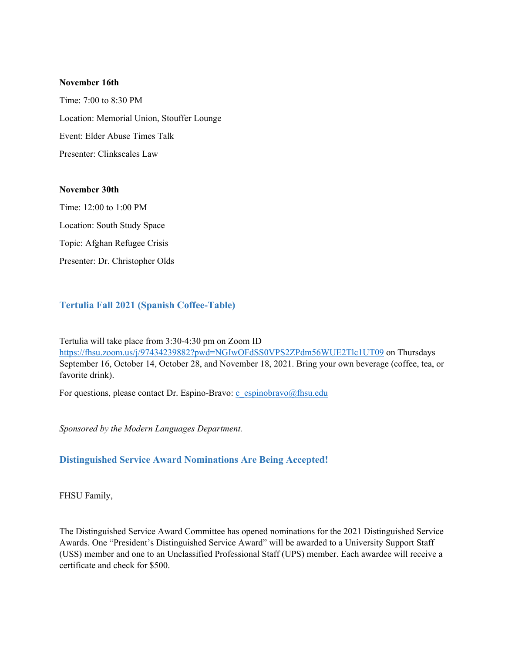#### **November 16th**

Time: 7:00 to 8:30 PM Location: Memorial Union, Stouffer Lounge Event: Elder Abuse Times Talk Presenter: Clinkscales Law

#### **November 30th**

Time: 12:00 to 1:00 PM Location: South Study Space Topic: Afghan Refugee Crisis Presenter: Dr. Christopher Olds

### **Tertulia Fall 2021 (Spanish Coffee-Table)**

Tertulia will take place from 3:30-4:30 pm on Zoom ID https://fhsu.zoom.us/j/97434239882?pwd=NGIwOFdSS0VPS2ZPdm56WUE2Tlc1UT09 on Thursdays September 16, October 14, October 28, and November 18, 2021. Bring your own beverage (coffee, tea, or favorite drink).

For questions, please contact Dr. Espino-Bravo: c\_espinobravo@fhsu.edu

*Sponsored by the Modern Languages Department.* 

#### **Distinguished Service Award Nominations Are Being Accepted!**

FHSU Family,

The Distinguished Service Award Committee has opened nominations for the 2021 Distinguished Service Awards. One "President's Distinguished Service Award" will be awarded to a University Support Staff (USS) member and one to an Unclassified Professional Staff (UPS) member. Each awardee will receive a certificate and check for \$500.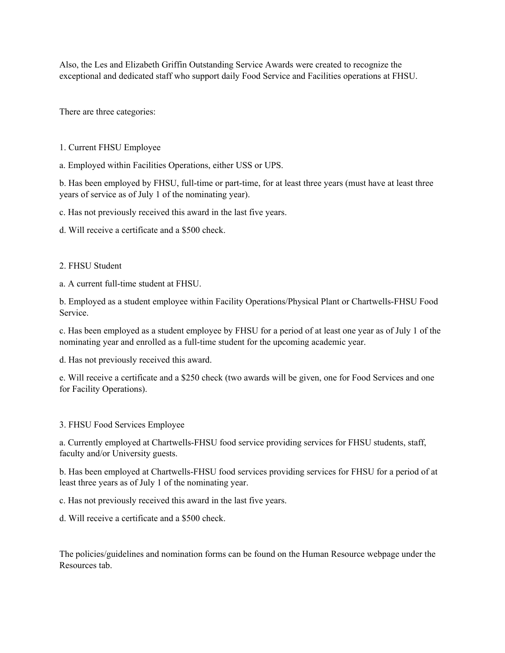Also, the Les and Elizabeth Griffin Outstanding Service Awards were created to recognize the exceptional and dedicated staff who support daily Food Service and Facilities operations at FHSU.

There are three categories:

- 1. Current FHSU Employee
- a. Employed within Facilities Operations, either USS or UPS.

b. Has been employed by FHSU, full-time or part-time, for at least three years (must have at least three years of service as of July 1 of the nominating year).

c. Has not previously received this award in the last five years.

d. Will receive a certificate and a \$500 check.

#### 2. FHSU Student

a. A current full-time student at FHSU.

b. Employed as a student employee within Facility Operations/Physical Plant or Chartwells-FHSU Food Service.

c. Has been employed as a student employee by FHSU for a period of at least one year as of July 1 of the nominating year and enrolled as a full-time student for the upcoming academic year.

d. Has not previously received this award.

e. Will receive a certificate and a \$250 check (two awards will be given, one for Food Services and one for Facility Operations).

### 3. FHSU Food Services Employee

a. Currently employed at Chartwells-FHSU food service providing services for FHSU students, staff, faculty and/or University guests.

b. Has been employed at Chartwells-FHSU food services providing services for FHSU for a period of at least three years as of July 1 of the nominating year.

c. Has not previously received this award in the last five years.

d. Will receive a certificate and a \$500 check.

The policies/guidelines and nomination forms can be found on the Human Resource webpage under the Resources tab.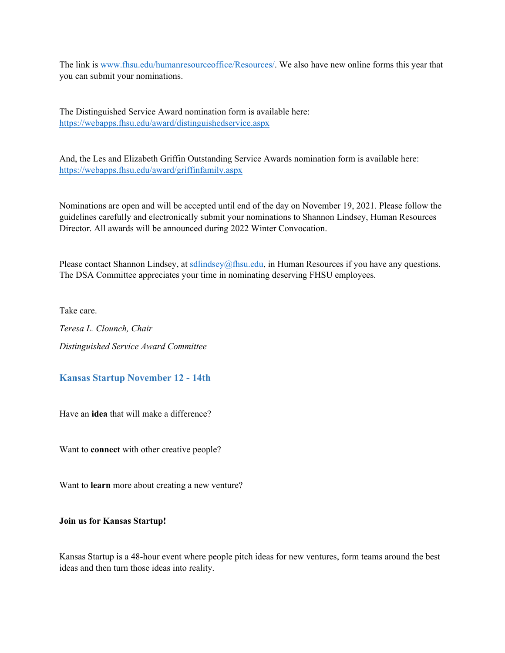The link is www.fhsu.edu/humanresourceoffice/Resources/. We also have new online forms this year that you can submit your nominations.

The Distinguished Service Award nomination form is available here: https://webapps.fhsu.edu/award/distinguishedservice.aspx

And, the Les and Elizabeth Griffin Outstanding Service Awards nomination form is available here: https://webapps.fhsu.edu/award/griffinfamily.aspx

Nominations are open and will be accepted until end of the day on November 19, 2021. Please follow the guidelines carefully and electronically submit your nominations to Shannon Lindsey, Human Resources Director. All awards will be announced during 2022 Winter Convocation.

Please contact Shannon Lindsey, at sollindsey@fhsu.edu, in Human Resources if you have any questions. The DSA Committee appreciates your time in nominating deserving FHSU employees.

Take care.

*Teresa L. Clounch, Chair Distinguished Service Award Committee* 

### **Kansas Startup November 12 - 14th**

Have an **idea** that will make a difference?

Want to **connect** with other creative people?

Want to **learn** more about creating a new venture?

**Join us for Kansas Startup!**

Kansas Startup is a 48-hour event where people pitch ideas for new ventures, form teams around the best ideas and then turn those ideas into reality.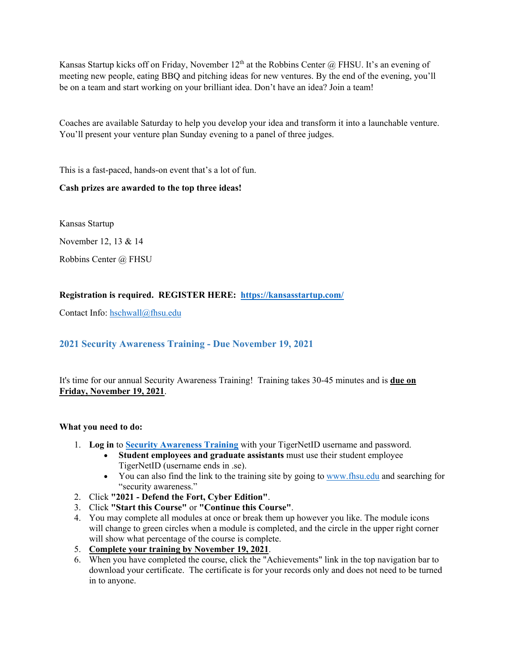Kansas Startup kicks off on Friday, November  $12<sup>th</sup>$  at the Robbins Center @ FHSU. It's an evening of meeting new people, eating BBQ and pitching ideas for new ventures. By the end of the evening, you'll be on a team and start working on your brilliant idea. Don't have an idea? Join a team!

Coaches are available Saturday to help you develop your idea and transform it into a launchable venture. You'll present your venture plan Sunday evening to a panel of three judges.

This is a fast-paced, hands-on event that's a lot of fun.

# **Cash prizes are awarded to the top three ideas!**

Kansas Startup

November 12, 13 & 14

Robbins Center @ FHSU

### **Registration is required. REGISTER HERE: https://kansasstartup.com/**

Contact Info: hschwall@fhsu.edu

### **2021 Security Awareness Training - Due November 19, 2021**

It's time for our annual Security Awareness Training! Training takes 30-45 minutes and is **due on Friday, November 19, 2021**.

#### **What you need to do:**

- 1. **Log in** to **Security Awareness Training** with your TigerNetID username and password.
	- **Student employees and graduate assistants** must use their student employee TigerNetID (username ends in .se).
	- You can also find the link to the training site by going to www.fhsu.edu and searching for "security awareness."
- 2. Click **"2021 Defend the Fort, Cyber Edition"**.
- 3. Click **"Start this Course"** or **"Continue this Course"**.
- 4. You may complete all modules at once or break them up however you like. The module icons will change to green circles when a module is completed, and the circle in the upper right corner will show what percentage of the course is complete.
- 5. **Complete your training by November 19, 2021**.
- 6. When you have completed the course, click the "Achievements" link in the top navigation bar to download your certificate. The certificate is for your records only and does not need to be turned in to anyone.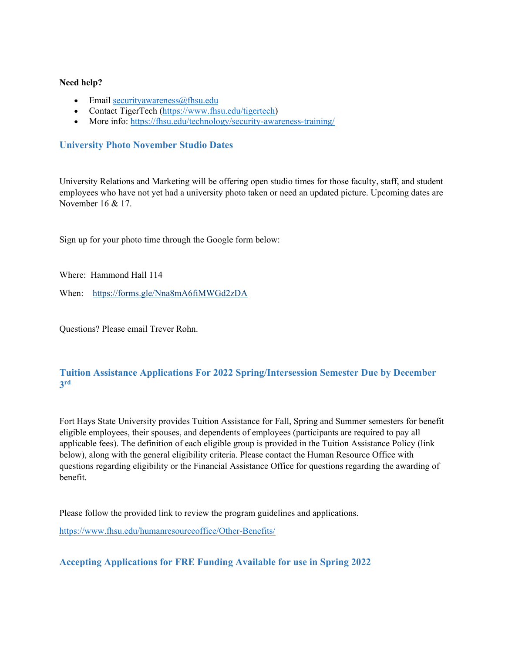#### **Need help?**

- Email securityawareness@fhsu.edu
- Contact TigerTech (https://www.fhsu.edu/tigertech)
- More info: https://fhsu.edu/technology/security-awareness-training/

# **University Photo November Studio Dates**

University Relations and Marketing will be offering open studio times for those faculty, staff, and student employees who have not yet had a university photo taken or need an updated picture. Upcoming dates are November 16 & 17.

Sign up for your photo time through the Google form below:

Where: Hammond Hall 114

When: https://forms.gle/Nna8mA6fiMWGd2zDA

Questions? Please email Trever Rohn.

# **Tuition Assistance Applications For 2022 Spring/Intersession Semester Due by December 3rd**

Fort Hays State University provides Tuition Assistance for Fall, Spring and Summer semesters for benefit eligible employees, their spouses, and dependents of employees (participants are required to pay all applicable fees). The definition of each eligible group is provided in the Tuition Assistance Policy (link below), along with the general eligibility criteria. Please contact the Human Resource Office with questions regarding eligibility or the Financial Assistance Office for questions regarding the awarding of benefit.

Please follow the provided link to review the program guidelines and applications.

https://www.fhsu.edu/humanresourceoffice/Other-Benefits/

# **Accepting Applications for FRE Funding Available for use in Spring 2022**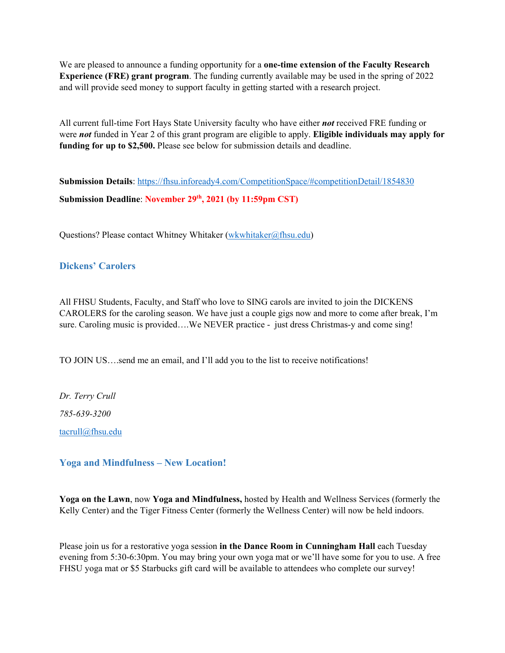We are pleased to announce a funding opportunity for a **one-time extension of the Faculty Research Experience (FRE) grant program**. The funding currently available may be used in the spring of 2022 and will provide seed money to support faculty in getting started with a research project.

All current full-time Fort Hays State University faculty who have either *not* received FRE funding or were *not* funded in Year 2 of this grant program are eligible to apply. **Eligible individuals may apply for funding for up to \$2,500.** Please see below for submission details and deadline.

**Submission Details**: https://fhsu.infoready4.com/CompetitionSpace/#competitionDetail/1854830 Submission Deadline: November 29<sup>th</sup>, 2021 (by 11:59pm CST)

Questions? Please contact Whitney Whitaker (wkwhitaker@fhsu.edu)

# **Dickens' Carolers**

All FHSU Students, Faculty, and Staff who love to SING carols are invited to join the DICKENS CAROLERS for the caroling season. We have just a couple gigs now and more to come after break, I'm sure. Caroling music is provided….We NEVER practice - just dress Christmas-y and come sing!

TO JOIN US….send me an email, and I'll add you to the list to receive notifications!

*Dr. Terry Crull 785-639-3200*  tacrull@fhsu.edu

### **Yoga and Mindfulness – New Location!**

**Yoga on the Lawn**, now **Yoga and Mindfulness,** hosted by Health and Wellness Services (formerly the Kelly Center) and the Tiger Fitness Center (formerly the Wellness Center) will now be held indoors.

Please join us for a restorative yoga session **in the Dance Room in Cunningham Hall** each Tuesday evening from 5:30-6:30pm. You may bring your own yoga mat or we'll have some for you to use. A free FHSU yoga mat or \$5 Starbucks gift card will be available to attendees who complete our survey!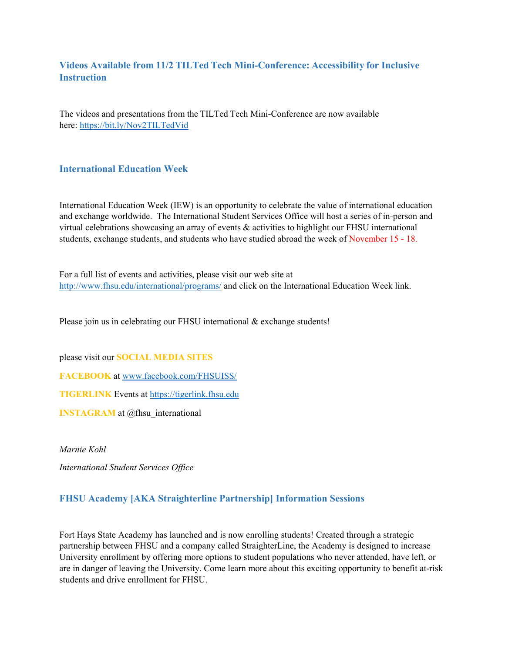# **Videos Available from 11/2 TILTed Tech Mini-Conference: Accessibility for Inclusive Instruction**

The videos and presentations from the TILTed Tech Mini-Conference are now available here: https://bit.ly/Nov2TILTedVid

# **International Education Week**

International Education Week (IEW) is an opportunity to celebrate the value of international education and exchange worldwide. The International Student Services Office will host a series of in-person and virtual celebrations showcasing an array of events & activities to highlight our FHSU international students, exchange students, and students who have studied abroad the week of November 15 - 18.

For a full list of events and activities, please visit our web site at http://www.fhsu.edu/international/programs/ and click on the International Education Week link.

Please join us in celebrating our FHSU international & exchange students!

please visit our **SOCIAL MEDIA SITES**

**FACEBOOK** at www.facebook.com/FHSUISS/

**TIGERLINK** Events at https://tigerlink.fhsu.edu

**INSTAGRAM** at @fhsu international

*Marnie Kohl* 

*International Student Services Office* 

### **FHSU Academy [AKA Straighterline Partnership] Information Sessions**

Fort Hays State Academy has launched and is now enrolling students! Created through a strategic partnership between FHSU and a company called StraighterLine, the Academy is designed to increase University enrollment by offering more options to student populations who never attended, have left, or are in danger of leaving the University. Come learn more about this exciting opportunity to benefit at-risk students and drive enrollment for FHSU.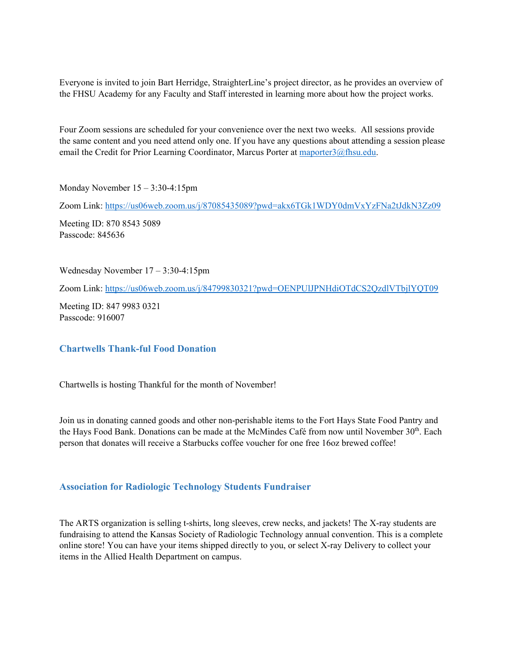Everyone is invited to join Bart Herridge, StraighterLine's project director, as he provides an overview of the FHSU Academy for any Faculty and Staff interested in learning more about how the project works.

Four Zoom sessions are scheduled for your convenience over the next two weeks. All sessions provide the same content and you need attend only one. If you have any questions about attending a session please email the Credit for Prior Learning Coordinator, Marcus Porter at maporter3@fhsu.edu.

Monday November 15 – 3:30-4:15pm

Zoom Link: https://us06web.zoom.us/j/87085435089?pwd=akx6TGk1WDY0dmVxYzFNa2tJdkN3Zz09

Meeting ID: 870 8543 5089 Passcode: 845636

Wednesday November 17 – 3:30-4:15pm

Zoom Link: https://us06web.zoom.us/j/84799830321?pwd=OENPUlJPNHdiOTdCS2QzdlVTbjlYQT09

Meeting ID: 847 9983 0321 Passcode: 916007

#### **Chartwells Thank-ful Food Donation**

Chartwells is hosting Thankful for the month of November!

Join us in donating canned goods and other non-perishable items to the Fort Hays State Food Pantry and the Hays Food Bank. Donations can be made at the McMindes Café from now until November  $30<sup>th</sup>$ . Each person that donates will receive a Starbucks coffee voucher for one free 16oz brewed coffee!

### **Association for Radiologic Technology Students Fundraiser**

The ARTS organization is selling t-shirts, long sleeves, crew necks, and jackets! The X-ray students are fundraising to attend the Kansas Society of Radiologic Technology annual convention. This is a complete online store! You can have your items shipped directly to you, or select X-ray Delivery to collect your items in the Allied Health Department on campus.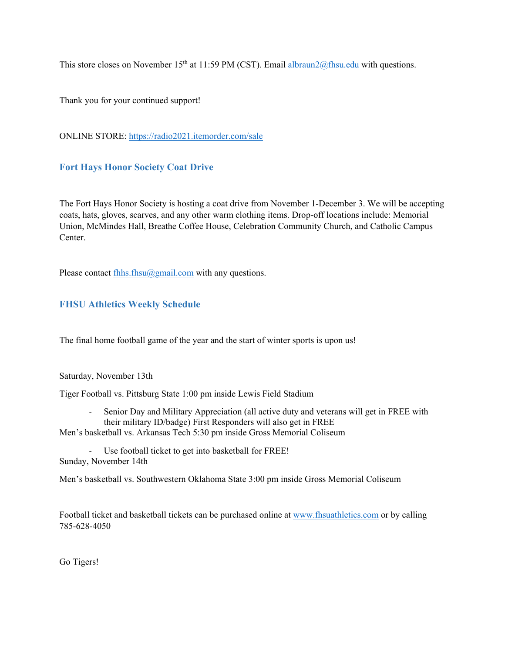This store closes on November 15<sup>th</sup> at 11:59 PM (CST). Email albraun2@fhsu.edu with questions.

Thank you for your continued support!

ONLINE STORE: https://radio2021.itemorder.com/sale

# **Fort Hays Honor Society Coat Drive**

The Fort Hays Honor Society is hosting a coat drive from November 1-December 3. We will be accepting coats, hats, gloves, scarves, and any other warm clothing items. Drop-off locations include: Memorial Union, McMindes Hall, Breathe Coffee House, Celebration Community Church, and Catholic Campus Center.

Please contact fhhs.fhsu $@g$ mail.com with any questions.

# **FHSU Athletics Weekly Schedule**

The final home football game of the year and the start of winter sports is upon us!

Saturday, November 13th

Tiger Football vs. Pittsburg State 1:00 pm inside Lewis Field Stadium

‐ Senior Day and Military Appreciation (all active duty and veterans will get in FREE with their military ID/badge) First Responders will also get in FREE

Men's basketball vs. Arkansas Tech 5:30 pm inside Gross Memorial Coliseum

Use football ticket to get into basketball for FREE! Sunday, November 14th

Men's basketball vs. Southwestern Oklahoma State 3:00 pm inside Gross Memorial Coliseum

Football ticket and basketball tickets can be purchased online at www.fhsuathletics.com or by calling 785-628-4050

Go Tigers!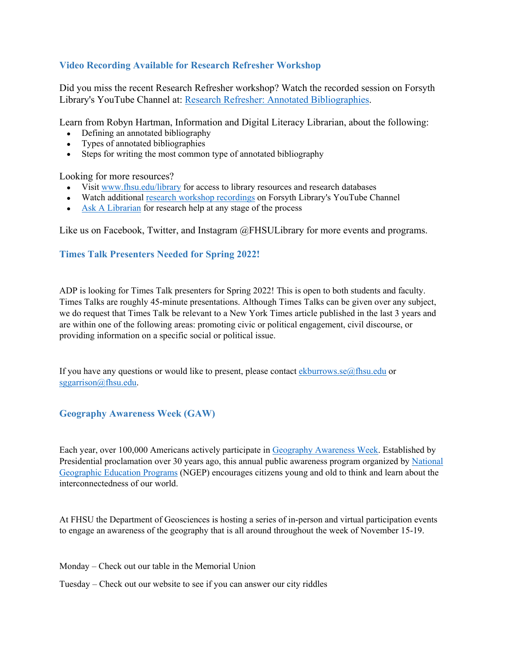# **Video Recording Available for Research Refresher Workshop**

Did you miss the recent Research Refresher workshop? Watch the recorded session on Forsyth Library's YouTube Channel at: Research Refresher: Annotated Bibliographies.

Learn from Robyn Hartman, Information and Digital Literacy Librarian, about the following:

- Defining an annotated bibliography
- Types of annotated bibliographies
- Steps for writing the most common type of annotated bibliography

Looking for more resources?

- Visit www.fhsu.edu/library for access to library resources and research databases
- Watch additional research workshop recordings on Forsyth Library's YouTube Channel
- Ask A Librarian for research help at any stage of the process

Like us on Facebook, Twitter, and Instagram @FHSULibrary for more events and programs.

# **Times Talk Presenters Needed for Spring 2022!**

ADP is looking for Times Talk presenters for Spring 2022! This is open to both students and faculty. Times Talks are roughly 45-minute presentations. Although Times Talks can be given over any subject, we do request that Times Talk be relevant to a New York Times article published in the last 3 years and are within one of the following areas: promoting civic or political engagement, civil discourse, or providing information on a specific social or political issue.

If you have any questions or would like to present, please contact ekburrows.se $@$ fhsu.edu or sggarrison@fhsu.edu.

# **Geography Awareness Week (GAW)**

Each year, over 100,000 Americans actively participate in Geography Awareness Week. Established by Presidential proclamation over 30 years ago, this annual public awareness program organized by National Geographic Education Programs (NGEP) encourages citizens young and old to think and learn about the interconnectedness of our world.

At FHSU the Department of Geosciences is hosting a series of in-person and virtual participation events to engage an awareness of the geography that is all around throughout the week of November 15-19.

Monday – Check out our table in the Memorial Union

Tuesday – Check out our website to see if you can answer our city riddles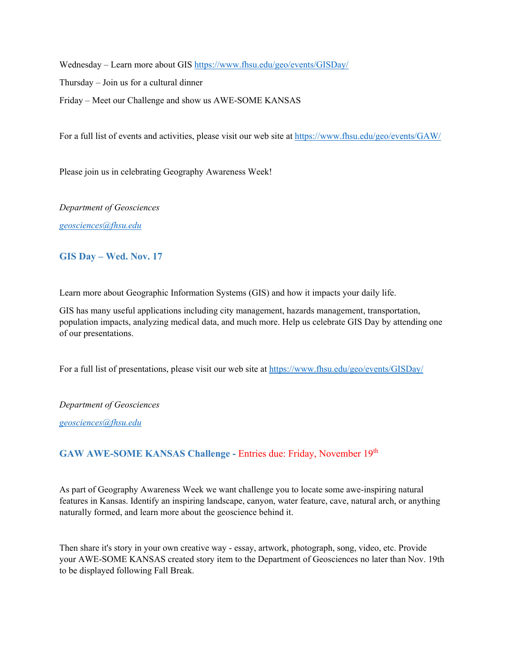Wednesday – Learn more about GIS https://www.fhsu.edu/geo/events/GISDay/

Thursday – Join us for a cultural dinner

Friday – Meet our Challenge and show us AWE-SOME KANSAS

For a full list of events and activities, please visit our web site at https://www.fhsu.edu/geo/events/GAW/

Please join us in celebrating Geography Awareness Week!

*Department of Geosciences* 

*geosciences@fhsu.edu* 

# **GIS Day – Wed. Nov. 17**

Learn more about Geographic Information Systems (GIS) and how it impacts your daily life.

GIS has many useful applications including city management, hazards management, transportation, population impacts, analyzing medical data, and much more. Help us celebrate GIS Day by attending one of our presentations.

For a full list of presentations, please visit our web site at https://www.fhsu.edu/geo/events/GISDay/

*Department of Geosciences* 

*geosciences@fhsu.edu* 

# GAW AWE-SOME KANSAS Challenge - Entries due: Friday, November 19<sup>th</sup>

As part of Geography Awareness Week we want challenge you to locate some awe-inspiring natural features in Kansas. Identify an inspiring landscape, canyon, water feature, cave, natural arch, or anything naturally formed, and learn more about the geoscience behind it.

Then share it's story in your own creative way - essay, artwork, photograph, song, video, etc. Provide your AWE-SOME KANSAS created story item to the Department of Geosciences no later than Nov. 19th to be displayed following Fall Break.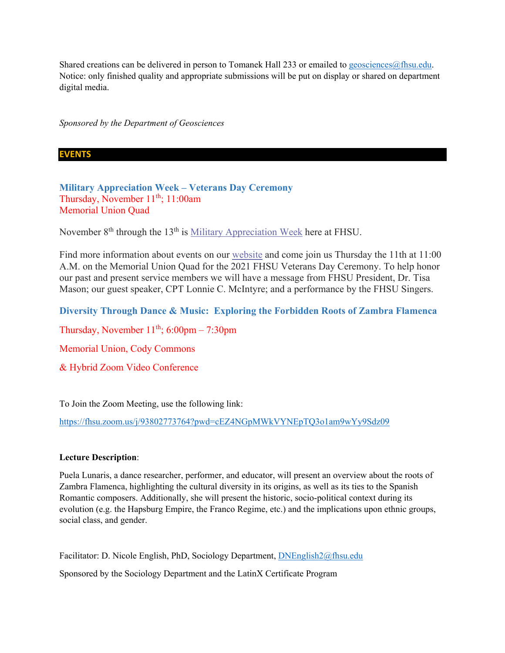Shared creations can be delivered in person to Tomanek Hall 233 or emailed to geosciences@fhsu.edu. Notice: only finished quality and appropriate submissions will be put on display or shared on department digital media.

*Sponsored by the Department of Geosciences* 

### **EVENTS**

**Military Appreciation Week – Veterans Day Ceremony**  Thursday, November 11<sup>th</sup>; 11:00am Memorial Union Quad

November 8<sup>th</sup> through the 13<sup>th</sup> is Military Appreciation Week here at FHSU.

Find more information about events on our website and come join us Thursday the 11th at 11:00 A.M. on the Memorial Union Quad for the 2021 FHSU Veterans Day Ceremony. To help honor our past and present service members we will have a message from FHSU President, Dr. Tisa Mason; our guest speaker, CPT Lonnie C. McIntyre; and a performance by the FHSU Singers.

**Diversity Through Dance & Music: Exploring the Forbidden Roots of Zambra Flamenca**

Thursday, November  $11^{th}$ ; 6:00pm – 7:30pm

Memorial Union, Cody Commons

& Hybrid Zoom Video Conference

To Join the Zoom Meeting, use the following link:

https://fhsu.zoom.us/j/93802773764?pwd=cEZ4NGpMWkVYNEpTQ3o1am9wYy9Sdz09

#### **Lecture Description**:

Puela Lunaris, a dance researcher, performer, and educator, will present an overview about the roots of Zambra Flamenca, highlighting the cultural diversity in its origins, as well as its ties to the Spanish Romantic composers. Additionally, she will present the historic, socio-political context during its evolution (e.g. the Hapsburg Empire, the Franco Regime, etc.) and the implications upon ethnic groups, social class, and gender.

Facilitator: D. Nicole English, PhD, Sociology Department, DNEnglish2@fhsu.edu

Sponsored by the Sociology Department and the LatinX Certificate Program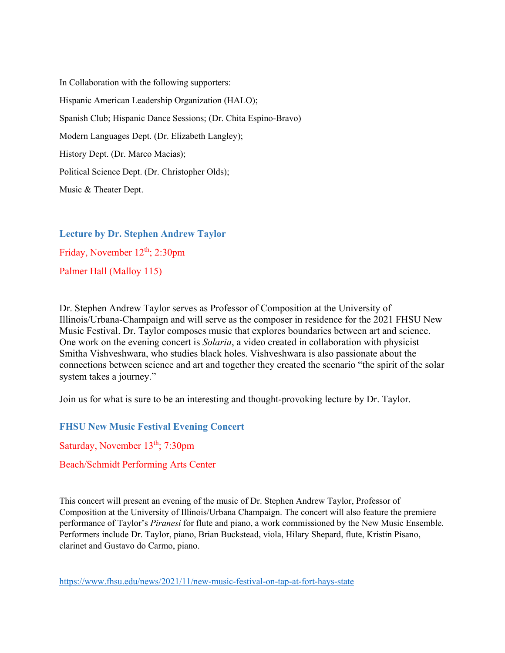In Collaboration with the following supporters: Hispanic American Leadership Organization (HALO); Spanish Club; Hispanic Dance Sessions; (Dr. Chita Espino-Bravo) Modern Languages Dept. (Dr. Elizabeth Langley); History Dept. (Dr. Marco Macias); Political Science Dept. (Dr. Christopher Olds); Music & Theater Dept.

**Lecture by Dr. Stephen Andrew Taylor**  Friday, November 12<sup>th</sup>; 2:30pm Palmer Hall (Malloy 115)

Dr. Stephen Andrew Taylor serves as Professor of Composition at the University of Illinois/Urbana-Champaign and will serve as the composer in residence for the 2021 FHSU New Music Festival. Dr. Taylor composes music that explores boundaries between art and science. One work on the evening concert is *Solaria*, a video created in collaboration with physicist Smitha Vishveshwara, who studies black holes. Vishveshwara is also passionate about the connections between science and art and together they created the scenario "the spirit of the solar system takes a journey."

Join us for what is sure to be an interesting and thought-provoking lecture by Dr. Taylor.

**FHSU New Music Festival Evening Concert** 

Saturday, November 13<sup>th</sup>; 7:30pm

Beach/Schmidt Performing Arts Center

This concert will present an evening of the music of Dr. Stephen Andrew Taylor, Professor of Composition at the University of Illinois/Urbana Champaign. The concert will also feature the premiere performance of Taylor's *Piranesi* for flute and piano, a work commissioned by the New Music Ensemble. Performers include Dr. Taylor, piano, Brian Buckstead, viola, Hilary Shepard, flute, Kristin Pisano, clarinet and Gustavo do Carmo, piano.

https://www.fhsu.edu/news/2021/11/new-music-festival-on-tap-at-fort-hays-state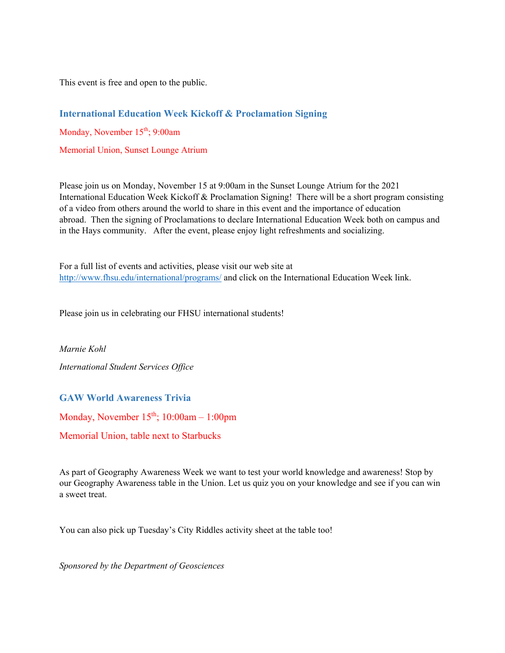This event is free and open to the public.

# **International Education Week Kickoff & Proclamation Signing**

Monday, November 15<sup>th</sup>; 9:00am

Memorial Union, Sunset Lounge Atrium

Please join us on Monday, November 15 at 9:00am in the Sunset Lounge Atrium for the 2021 International Education Week Kickoff & Proclamation Signing! There will be a short program consisting of a video from others around the world to share in this event and the importance of education abroad. Then the signing of Proclamations to declare International Education Week both on campus and in the Hays community. After the event, please enjoy light refreshments and socializing.

For a full list of events and activities, please visit our web site at http://www.fhsu.edu/international/programs/ and click on the International Education Week link.

Please join us in celebrating our FHSU international students!

*Marnie Kohl International Student Services Office* 

# **GAW World Awareness Trivia**

Monday, November  $15<sup>th</sup>$ ; 10:00am – 1:00pm

Memorial Union, table next to Starbucks

As part of Geography Awareness Week we want to test your world knowledge and awareness! Stop by our Geography Awareness table in the Union. Let us quiz you on your knowledge and see if you can win a sweet treat.

You can also pick up Tuesday's City Riddles activity sheet at the table too!

*Sponsored by the Department of Geosciences*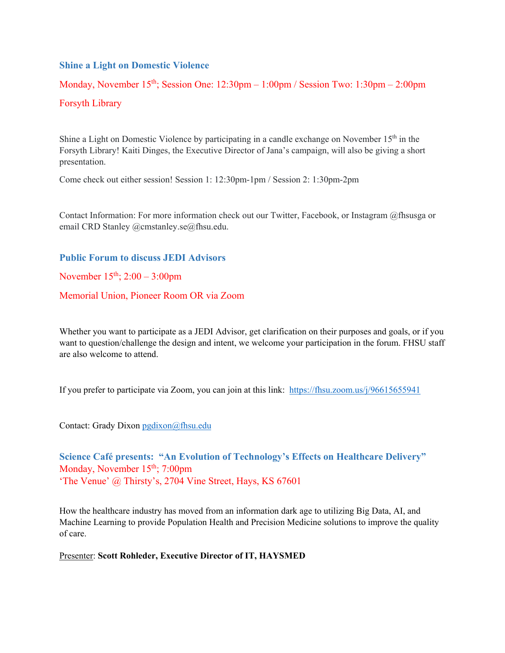### **Shine a Light on Domestic Violence**

Monday, November  $15<sup>th</sup>$ ; Session One:  $12:30pm - 1:00pm /$  Session Two:  $1:30pm - 2:00pm$ Forsyth Library

Shine a Light on Domestic Violence by participating in a candle exchange on November  $15<sup>th</sup>$  in the Forsyth Library! Kaiti Dinges, the Executive Director of Jana's campaign, will also be giving a short presentation.

Come check out either session! Session 1: 12:30pm-1pm / Session 2: 1:30pm-2pm

Contact Information: For more information check out our Twitter, Facebook, or Instagram @fhsusga or email CRD Stanley @cmstanley.se@fhsu.edu.

### **Public Forum to discuss JEDI Advisors**

November  $15^{th}$ ;  $2:00 - 3:00$ pm

Memorial Union, Pioneer Room OR via Zoom

Whether you want to participate as a JEDI Advisor, get clarification on their purposes and goals, or if you want to question/challenge the design and intent, we welcome your participation in the forum. FHSU staff are also welcome to attend.

If you prefer to participate via Zoom, you can join at this link: https://fhsu.zoom.us/j/96615655941

Contact: Grady Dixon pgdixon@fhsu.edu

**Science Café presents: "An Evolution of Technology's Effects on Healthcare Delivery"**  Monday, November  $15<sup>th</sup>$ ; 7:00pm 'The Venue' @ Thirsty's, 2704 Vine Street, Hays, KS 67601

How the healthcare industry has moved from an information dark age to utilizing Big Data, AI, and Machine Learning to provide Population Health and Precision Medicine solutions to improve the quality of care.

Presenter: **Scott Rohleder, Executive Director of IT, HAYSMED**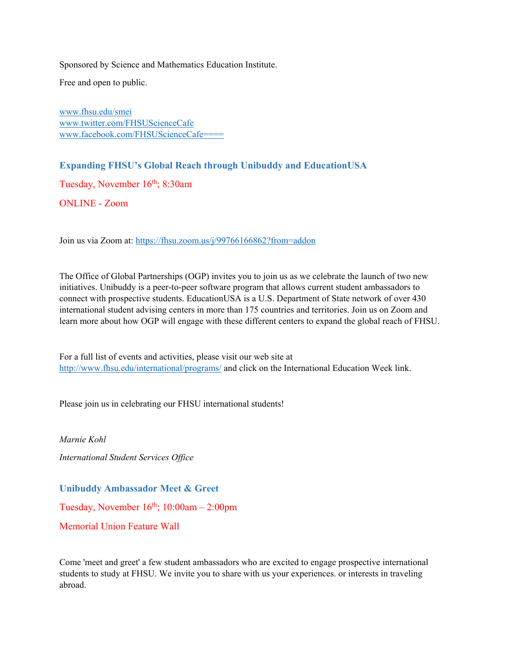Sponsored by Science and Mathematics Education Institute.

Free and open to public.

www.fhsu.edu/smei www.twitter.com/FHSUScienceCafe www.facebook.com/FHSUScienceCafe====

**Expanding FHSU's Global Reach through Unibuddy and EducationUSA** 

Tuesday, November 16<sup>th</sup>; 8:30am

ONLINE - Zoom

Join us via Zoom at: https://fhsu.zoom.us/j/99766166862?from=addon

The Office of Global Partnerships (OGP) invites you to join us as we celebrate the launch of two new initiatives. Unibuddy is a peer-to-peer software program that allows current student ambassadors to connect with prospective students. EducationUSA is a U.S. Department of State network of over 430 international student advising centers in more than 175 countries and territories. Join us on Zoom and learn more about how OGP will engage with these different centers to expand the global reach of FHSU.

For a full list of events and activities, please visit our web site at http://www.fhsu.edu/international/programs/ and click on the International Education Week link.

Please join us in celebrating our FHSU international students!

*Marnie Kohl International Student Services Office* 

**Unibuddy Ambassador Meet & Greet** 

Tuesday, November  $16^{th}$ ;  $10:00$ am – 2:00pm

Memorial Union Feature Wall

Come 'meet and greet' a few student ambassadors who are excited to engage prospective international students to study at FHSU. We invite you to share with us your experiences. or interests in traveling abroad.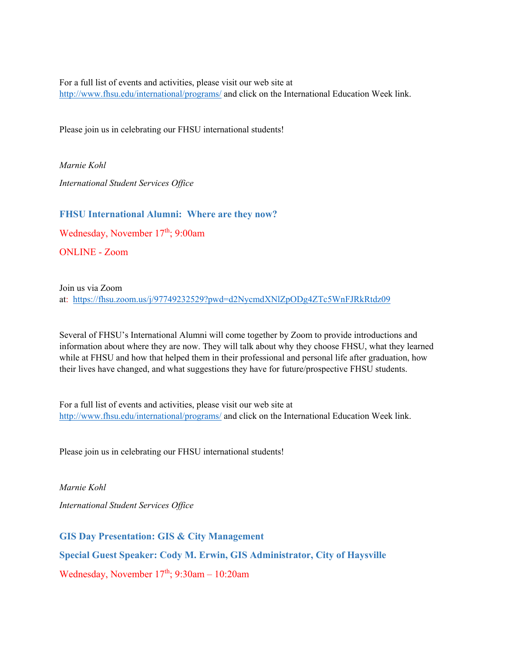For a full list of events and activities, please visit our web site at http://www.fhsu.edu/international/programs/ and click on the International Education Week link.

Please join us in celebrating our FHSU international students!

*Marnie Kohl International Student Services Office* 

# **FHSU International Alumni: Where are they now?**

Wednesday, November 17th; 9:00am

ONLINE - Zoom

Join us via Zoom at: https://fhsu.zoom.us/j/97749232529?pwd=d2NycmdXNlZpODg4ZTc5WnFJRkRtdz09

Several of FHSU's International Alumni will come together by Zoom to provide introductions and information about where they are now. They will talk about why they choose FHSU, what they learned while at FHSU and how that helped them in their professional and personal life after graduation, how their lives have changed, and what suggestions they have for future/prospective FHSU students.

For a full list of events and activities, please visit our web site at http://www.fhsu.edu/international/programs/ and click on the International Education Week link.

Please join us in celebrating our FHSU international students!

*Marnie Kohl International Student Services Office* 

**GIS Day Presentation: GIS & City Management** 

**Special Guest Speaker: Cody M. Erwin, GIS Administrator, City of Haysville** 

Wednesday, November  $17<sup>th</sup>$ ; 9:30am – 10:20am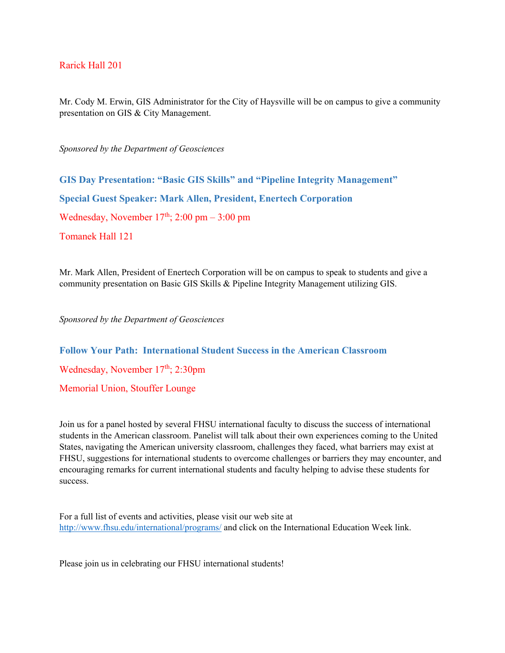### Rarick Hall 201

Mr. Cody M. Erwin, GIS Administrator for the City of Haysville will be on campus to give a community presentation on GIS & City Management.

*Sponsored by the Department of Geosciences* 

**GIS Day Presentation: "Basic GIS Skills" and "Pipeline Integrity Management" Special Guest Speaker: Mark Allen, President, Enertech Corporation**  Wednesday, November  $17<sup>th</sup>$ ; 2:00 pm – 3:00 pm Tomanek Hall 121

Mr. Mark Allen, President of Enertech Corporation will be on campus to speak to students and give a community presentation on Basic GIS Skills & Pipeline Integrity Management utilizing GIS.

*Sponsored by the Department of Geosciences* 

**Follow Your Path: International Student Success in the American Classroom**  Wednesday, November 17<sup>th</sup>; 2:30pm Memorial Union, Stouffer Lounge

Join us for a panel hosted by several FHSU international faculty to discuss the success of international students in the American classroom. Panelist will talk about their own experiences coming to the United States, navigating the American university classroom, challenges they faced, what barriers may exist at FHSU, suggestions for international students to overcome challenges or barriers they may encounter, and encouraging remarks for current international students and faculty helping to advise these students for success.

For a full list of events and activities, please visit our web site at http://www.fhsu.edu/international/programs/ and click on the International Education Week link.

Please join us in celebrating our FHSU international students!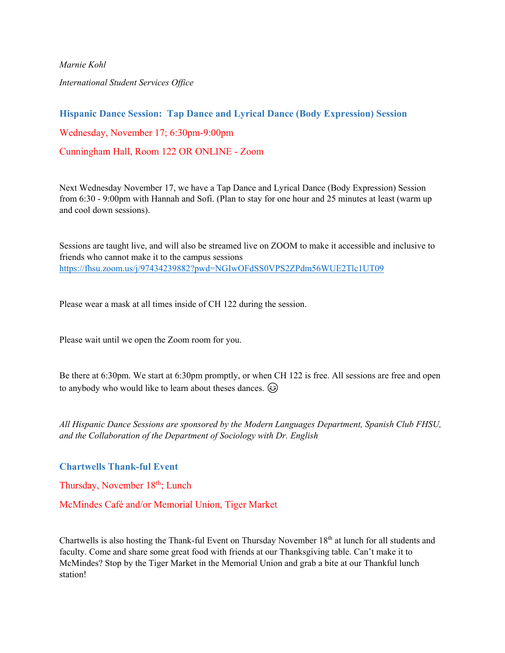*Marnie Kohl International Student Services Office* 

**Hispanic Dance Session: Tap Dance and Lyrical Dance (Body Expression) Session**  Wednesday, November 17; 6:30pm-9:00pm Cunningham Hall, Room 122 OR ONLINE - Zoom

Next Wednesday November 17, we have a Tap Dance and Lyrical Dance (Body Expression) Session from 6:30 - 9:00pm with Hannah and Sofi. (Plan to stay for one hour and 25 minutes at least (warm up and cool down sessions).

Sessions are taught live, and will also be streamed live on ZOOM to make it accessible and inclusive to friends who cannot make it to the campus sessions https://fhsu.zoom.us/j/97434239882?pwd=NGIwOFdSS0VPS2ZPdm56WUE2Tlc1UT09

Please wear a mask at all times inside of CH 122 during the session.

Please wait until we open the Zoom room for you.

Be there at 6:30pm. We start at 6:30pm promptly, or when CH 122 is free. All sessions are free and open to anybody who would like to learn about theses dances.  $\odot$ 

*All Hispanic Dance Sessions are sponsored by the Modern Languages Department, Spanish Club FHSU, and the Collaboration of the Department of Sociology with Dr. English* 

**Chartwells Thank-ful Event** 

Thursday, November 18<sup>th</sup>; Lunch

McMindes Café and/or Memorial Union, Tiger Market

Chartwells is also hosting the Thank-ful Event on Thursday November 18<sup>th</sup> at lunch for all students and faculty. Come and share some great food with friends at our Thanksgiving table. Can't make it to McMindes? Stop by the Tiger Market in the Memorial Union and grab a bite at our Thankful lunch station!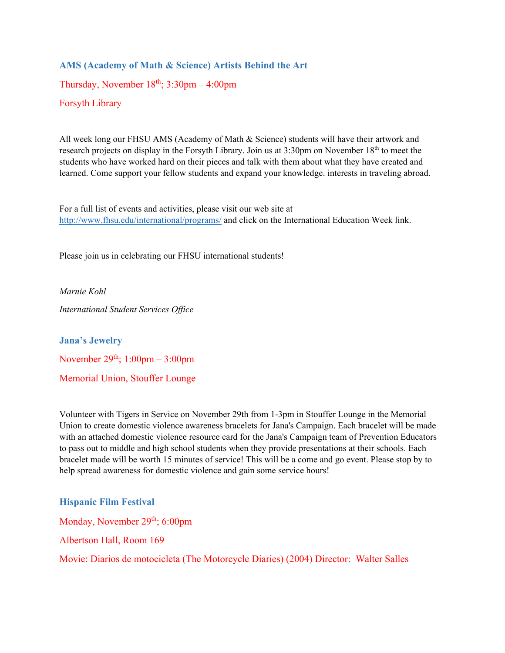# **AMS (Academy of Math & Science) Artists Behind the Art**

Thursday, November  $18<sup>th</sup>$ ;  $3:30pm - 4:00pm$ 

Forsyth Library

All week long our FHSU AMS (Academy of Math & Science) students will have their artwork and research projects on display in the Forsyth Library. Join us at 3:30pm on November 18<sup>th</sup> to meet the students who have worked hard on their pieces and talk with them about what they have created and learned. Come support your fellow students and expand your knowledge. interests in traveling abroad.

For a full list of events and activities, please visit our web site at http://www.fhsu.edu/international/programs/ and click on the International Education Week link.

Please join us in celebrating our FHSU international students!

*Marnie Kohl International Student Services Office* 

**Jana's Jewelry**  November  $29<sup>th</sup>$ ;  $1:00<sub>pm</sub> - 3:00<sub>pm</sub>$ Memorial Union, Stouffer Lounge

Volunteer with Tigers in Service on November 29th from 1-3pm in Stouffer Lounge in the Memorial Union to create domestic violence awareness bracelets for Jana's Campaign. Each bracelet will be made with an attached domestic violence resource card for the Jana's Campaign team of Prevention Educators to pass out to middle and high school students when they provide presentations at their schools. Each bracelet made will be worth 15 minutes of service! This will be a come and go event. Please stop by to help spread awareness for domestic violence and gain some service hours!

### **Hispanic Film Festival**

Monday, November 29<sup>th</sup>; 6:00pm

Albertson Hall, Room 169

Movie: Diarios de motocicleta (The Motorcycle Diaries) (2004) Director: Walter Salles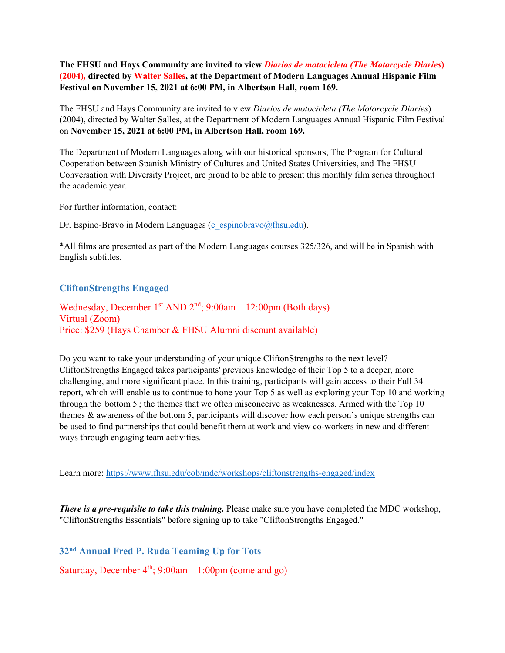### **The FHSU and Hays Community are invited to view** *Diarios de motocicleta (The Motorcycle Diaries***) (2004)***,* **directed by Walter Salles, at the Department of Modern Languages Annual Hispanic Film Festival on November 15, 2021 at 6:00 PM, in Albertson Hall, room 169.**

The FHSU and Hays Community are invited to view *Diarios de motocicleta (The Motorcycle Diaries*) (2004), directed by Walter Salles, at the Department of Modern Languages Annual Hispanic Film Festival on **November 15, 2021 at 6:00 PM, in Albertson Hall, room 169.** 

The Department of Modern Languages along with our historical sponsors, The Program for Cultural Cooperation between Spanish Ministry of Cultures and United States Universities, and The FHSU Conversation with Diversity Project, are proud to be able to present this monthly film series throughout the academic year.

For further information, contact:

Dr. Espino-Bravo in Modern Languages (c\_espinobravo@fhsu.edu).

\*All films are presented as part of the Modern Languages courses 325/326, and will be in Spanish with English subtitles.

# **CliftonStrengths Engaged**

Wednesday, December 1<sup>st</sup> AND  $2<sup>nd</sup>$ ; 9:00am – 12:00pm (Both days) Virtual (Zoom) Price: \$259 (Hays Chamber & FHSU Alumni discount available)

Do you want to take your understanding of your unique CliftonStrengths to the next level? CliftonStrengths Engaged takes participants' previous knowledge of their Top 5 to a deeper, more challenging, and more significant place. In this training, participants will gain access to their Full 34 report, which will enable us to continue to hone your Top 5 as well as exploring your Top 10 and working through the 'bottom 5'; the themes that we often misconceive as weaknesses. Armed with the Top 10 themes & awareness of the bottom 5, participants will discover how each person's unique strengths can be used to find partnerships that could benefit them at work and view co-workers in new and different ways through engaging team activities.

Learn more: https://www.fhsu.edu/cob/mdc/workshops/cliftonstrengths-engaged/index

*There is a pre-requisite to take this training.* Please make sure you have completed the MDC workshop, "CliftonStrengths Essentials" before signing up to take "CliftonStrengths Engaged."

**32nd Annual Fred P. Ruda Teaming Up for Tots** 

Saturday, December  $4<sup>th</sup>$ ; 9:00am – 1:00pm (come and go)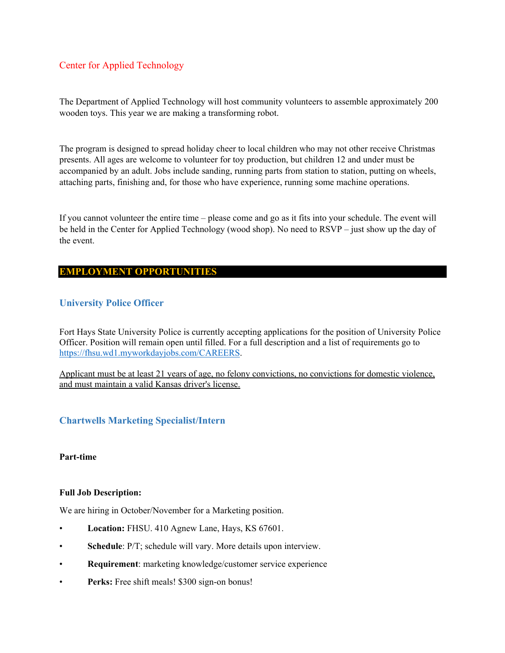### Center for Applied Technology

The Department of Applied Technology will host community volunteers to assemble approximately 200 wooden toys. This year we are making a transforming robot.

The program is designed to spread holiday cheer to local children who may not other receive Christmas presents. All ages are welcome to volunteer for toy production, but children 12 and under must be accompanied by an adult. Jobs include sanding, running parts from station to station, putting on wheels, attaching parts, finishing and, for those who have experience, running some machine operations.

If you cannot volunteer the entire time – please come and go as it fits into your schedule. The event will be held in the Center for Applied Technology (wood shop). No need to RSVP – just show up the day of the event.

### **EMPLOYMENT OPPORTUNITIES**

### **University Police Officer**

Fort Hays State University Police is currently accepting applications for the position of University Police Officer. Position will remain open until filled. For a full description and a list of requirements go to https://fhsu.wd1.myworkdayjobs.com/CAREERS.

Applicant must be at least 21 years of age, no felony convictions, no convictions for domestic violence, and must maintain a valid Kansas driver's license.

### **Chartwells Marketing Specialist/Intern**

#### **Part-time**

#### **Full Job Description:**

We are hiring in October/November for a Marketing position.

- **Location:** FHSU. 410 Agnew Lane, Hays, KS 67601.
- **Schedule**: P/T; schedule will vary. More details upon interview.
- **Requirement**: marketing knowledge/customer service experience
- **Perks:** Free shift meals! \$300 sign-on bonus!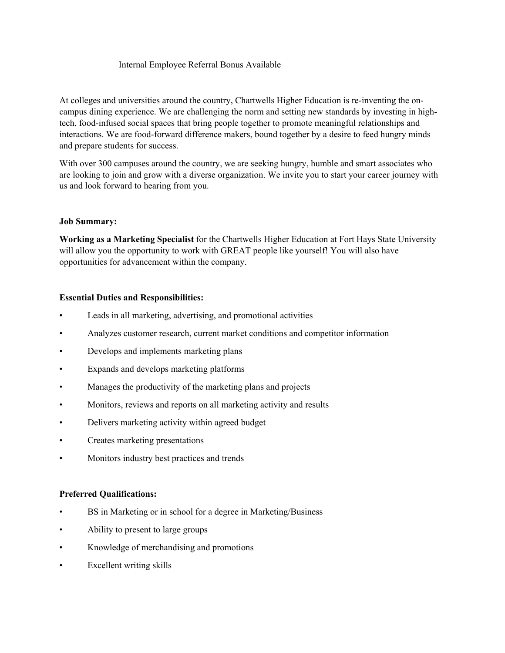#### Internal Employee Referral Bonus Available

At colleges and universities around the country, Chartwells Higher Education is re-inventing the oncampus dining experience. We are challenging the norm and setting new standards by investing in hightech, food-infused social spaces that bring people together to promote meaningful relationships and interactions. We are food-forward difference makers, bound together by a desire to feed hungry minds and prepare students for success.

With over 300 campuses around the country, we are seeking hungry, humble and smart associates who are looking to join and grow with a diverse organization. We invite you to start your career journey with us and look forward to hearing from you.

#### **Job Summary:**

**Working as a Marketing Specialist** for the Chartwells Higher Education at Fort Hays State University will allow you the opportunity to work with GREAT people like yourself! You will also have opportunities for advancement within the company.

### **Essential Duties and Responsibilities:**

- Leads in all marketing, advertising, and promotional activities
- Analyzes customer research, current market conditions and competitor information
- Develops and implements marketing plans
- Expands and develops marketing platforms
- Manages the productivity of the marketing plans and projects
- Monitors, reviews and reports on all marketing activity and results
- Delivers marketing activity within agreed budget
- Creates marketing presentations
- Monitors industry best practices and trends

#### **Preferred Qualifications:**

- BS in Marketing or in school for a degree in Marketing/Business
- Ability to present to large groups
- Knowledge of merchandising and promotions
- Excellent writing skills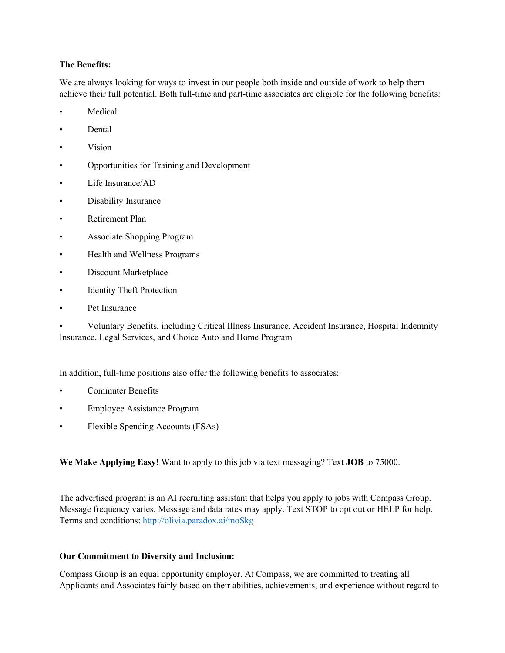#### **The Benefits:**

We are always looking for ways to invest in our people both inside and outside of work to help them achieve their full potential. Both full-time and part-time associates are eligible for the following benefits:

- **Medical**
- Dental
- Vision
- Opportunities for Training and Development
- Life Insurance/AD
- Disability Insurance
- Retirement Plan
- Associate Shopping Program
- Health and Wellness Programs
- Discount Marketplace
- **Identity Theft Protection**
- Pet Insurance

• Voluntary Benefits, including Critical Illness Insurance, Accident Insurance, Hospital Indemnity Insurance, Legal Services, and Choice Auto and Home Program

In addition, full-time positions also offer the following benefits to associates:

- Commuter Benefits
- Employee Assistance Program
- Flexible Spending Accounts (FSAs)

**We Make Applying Easy!** Want to apply to this job via text messaging? Text **JOB** to 75000.

The advertised program is an AI recruiting assistant that helps you apply to jobs with Compass Group. Message frequency varies. Message and data rates may apply. Text STOP to opt out or HELP for help. Terms and conditions: http://olivia.paradox.ai/moSkg

### **Our Commitment to Diversity and Inclusion:**

Compass Group is an equal opportunity employer. At Compass, we are committed to treating all Applicants and Associates fairly based on their abilities, achievements, and experience without regard to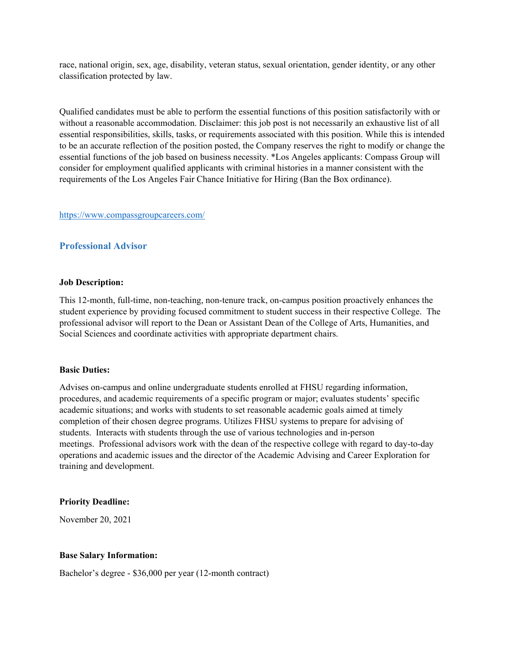race, national origin, sex, age, disability, veteran status, sexual orientation, gender identity, or any other classification protected by law.

Qualified candidates must be able to perform the essential functions of this position satisfactorily with or without a reasonable accommodation. Disclaimer: this job post is not necessarily an exhaustive list of all essential responsibilities, skills, tasks, or requirements associated with this position. While this is intended to be an accurate reflection of the position posted, the Company reserves the right to modify or change the essential functions of the job based on business necessity. \*Los Angeles applicants: Compass Group will consider for employment qualified applicants with criminal histories in a manner consistent with the requirements of the Los Angeles Fair Chance Initiative for Hiring (Ban the Box ordinance).

#### https://www.compassgroupcareers.com/

### **Professional Advisor**

#### **Job Description:**

This 12-month, full-time, non-teaching, non-tenure track, on-campus position proactively enhances the student experience by providing focused commitment to student success in their respective College. The professional advisor will report to the Dean or Assistant Dean of the College of Arts, Humanities, and Social Sciences and coordinate activities with appropriate department chairs.

#### **Basic Duties:**

Advises on-campus and online undergraduate students enrolled at FHSU regarding information, procedures, and academic requirements of a specific program or major; evaluates students' specific academic situations; and works with students to set reasonable academic goals aimed at timely completion of their chosen degree programs. Utilizes FHSU systems to prepare for advising of students. Interacts with students through the use of various technologies and in-person meetings. Professional advisors work with the dean of the respective college with regard to day-to-day operations and academic issues and the director of the Academic Advising and Career Exploration for training and development.

#### **Priority Deadline:**

November 20, 2021

#### **Base Salary Information:**

Bachelor's degree - \$36,000 per year (12-month contract)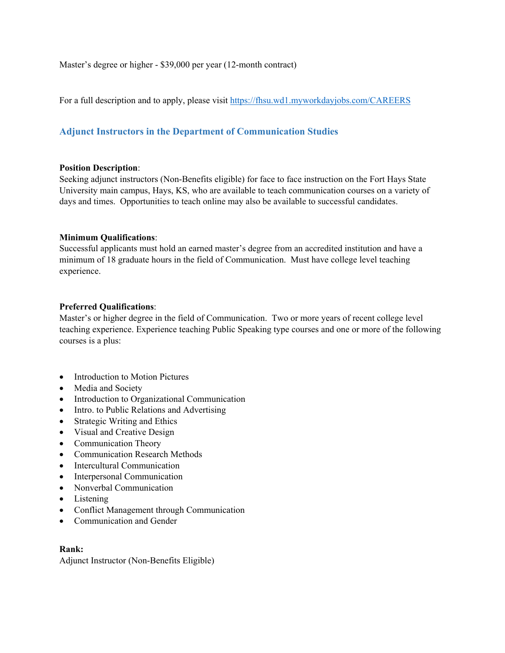Master's degree or higher - \$39,000 per year (12-month contract)

For a full description and to apply, please visit https://fhsu.wd1.myworkdayjobs.com/CAREERS

# **Adjunct Instructors in the Department of Communication Studies**

#### **Position Description**:

Seeking adjunct instructors (Non-Benefits eligible) for face to face instruction on the Fort Hays State University main campus, Hays, KS, who are available to teach communication courses on a variety of days and times. Opportunities to teach online may also be available to successful candidates.

#### **Minimum Qualifications**:

Successful applicants must hold an earned master's degree from an accredited institution and have a minimum of 18 graduate hours in the field of Communication. Must have college level teaching experience.

#### **Preferred Qualifications**:

Master's or higher degree in the field of Communication. Two or more years of recent college level teaching experience. Experience teaching Public Speaking type courses and one or more of the following courses is a plus:

- Introduction to Motion Pictures
- Media and Society
- Introduction to Organizational Communication
- Intro. to Public Relations and Advertising
- Strategic Writing and Ethics
- Visual and Creative Design
- Communication Theory
- Communication Research Methods
- Intercultural Communication
- Interpersonal Communication
- Nonverbal Communication
- Listening
- Conflict Management through Communication
- Communication and Gender

#### **Rank:**

Adjunct Instructor (Non-Benefits Eligible)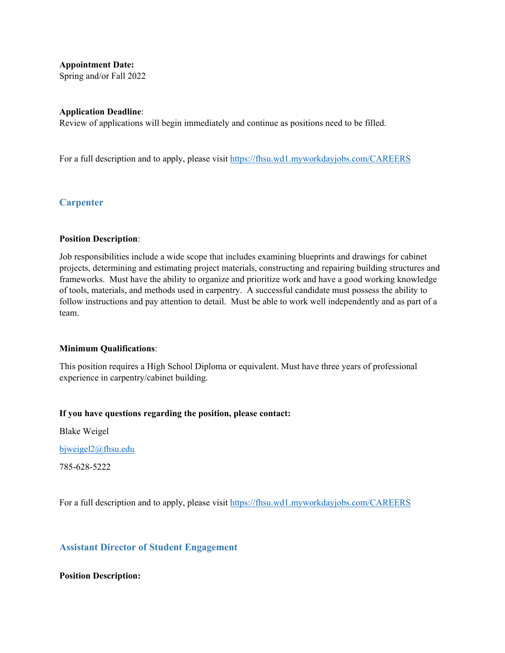**Appointment Date:**

Spring and/or Fall 2022

#### **Application Deadline**:

Review of applications will begin immediately and continue as positions need to be filled.

For a full description and to apply, please visit https://fhsu.wd1.myworkdayjobs.com/CAREERS

# **Carpenter**

#### **Position Description**:

Job responsibilities include a wide scope that includes examining blueprints and drawings for cabinet projects, determining and estimating project materials, constructing and repairing building structures and frameworks. Must have the ability to organize and prioritize work and have a good working knowledge of tools, materials, and methods used in carpentry. A successful candidate must possess the ability to follow instructions and pay attention to detail. Must be able to work well independently and as part of a team.

#### **Minimum Qualifications**:

This position requires a High School Diploma or equivalent. Must have three years of professional experience in carpentry/cabinet building.

#### **If you have questions regarding the position, please contact:**

Blake Weigel

bjweigel2@fhsu.edu

785-628-5222

For a full description and to apply, please visit https://fhsu.wd1.myworkdayjobs.com/CAREERS

#### **Assistant Director of Student Engagement**

#### **Position Description:**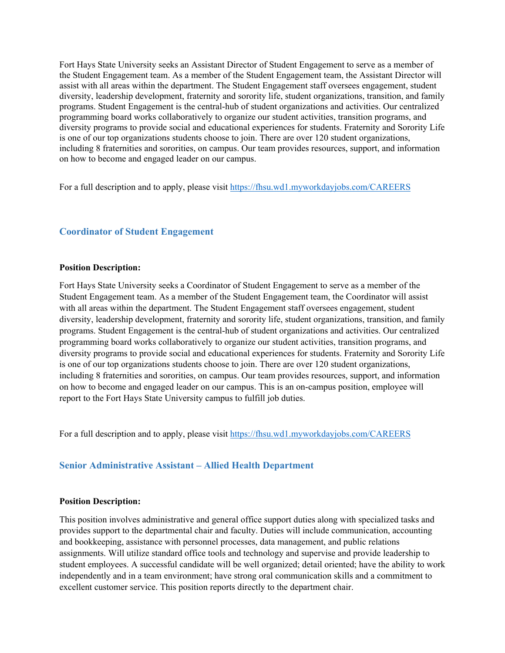Fort Hays State University seeks an Assistant Director of Student Engagement to serve as a member of the Student Engagement team. As a member of the Student Engagement team, the Assistant Director will assist with all areas within the department. The Student Engagement staff oversees engagement, student diversity, leadership development, fraternity and sorority life, student organizations, transition, and family programs. Student Engagement is the central-hub of student organizations and activities. Our centralized programming board works collaboratively to organize our student activities, transition programs, and diversity programs to provide social and educational experiences for students. Fraternity and Sorority Life is one of our top organizations students choose to join. There are over 120 student organizations, including 8 fraternities and sororities, on campus. Our team provides resources, support, and information on how to become and engaged leader on our campus.

For a full description and to apply, please visit https://fhsu.wd1.myworkdayjobs.com/CAREERS

### **Coordinator of Student Engagement**

#### **Position Description:**

Fort Hays State University seeks a Coordinator of Student Engagement to serve as a member of the Student Engagement team. As a member of the Student Engagement team, the Coordinator will assist with all areas within the department. The Student Engagement staff oversees engagement, student diversity, leadership development, fraternity and sorority life, student organizations, transition, and family programs. Student Engagement is the central-hub of student organizations and activities. Our centralized programming board works collaboratively to organize our student activities, transition programs, and diversity programs to provide social and educational experiences for students. Fraternity and Sorority Life is one of our top organizations students choose to join. There are over 120 student organizations, including 8 fraternities and sororities, on campus. Our team provides resources, support, and information on how to become and engaged leader on our campus. This is an on-campus position, employee will report to the Fort Hays State University campus to fulfill job duties.

For a full description and to apply, please visit https://fhsu.wd1.myworkdayjobs.com/CAREERS

### **Senior Administrative Assistant – Allied Health Department**

#### **Position Description:**

This position involves administrative and general office support duties along with specialized tasks and provides support to the departmental chair and faculty. Duties will include communication, accounting and bookkeeping, assistance with personnel processes, data management, and public relations assignments. Will utilize standard office tools and technology and supervise and provide leadership to student employees. A successful candidate will be well organized; detail oriented; have the ability to work independently and in a team environment; have strong oral communication skills and a commitment to excellent customer service. This position reports directly to the department chair.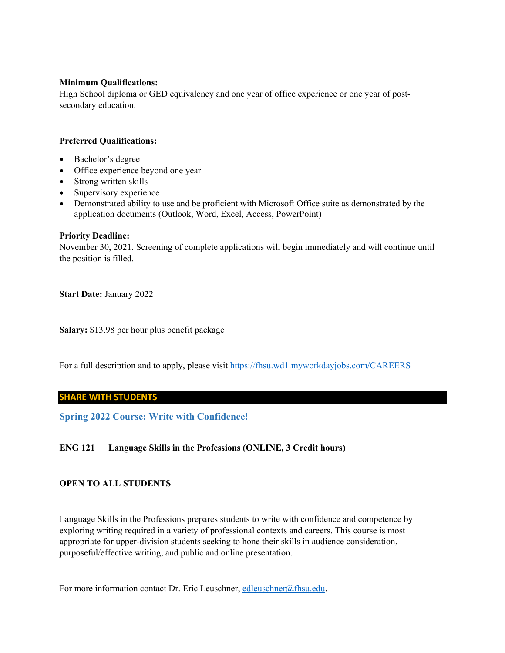#### **Minimum Qualifications:**

High School diploma or GED equivalency and one year of office experience or one year of postsecondary education.

#### **Preferred Qualifications:**

- Bachelor's degree
- Office experience beyond one year
- Strong written skills
- Supervisory experience
- Demonstrated ability to use and be proficient with Microsoft Office suite as demonstrated by the application documents (Outlook, Word, Excel, Access, PowerPoint)

#### **Priority Deadline:**

November 30, 2021. Screening of complete applications will begin immediately and will continue until the position is filled.

**Start Date:** January 2022

**Salary:** \$13.98 per hour plus benefit package

For a full description and to apply, please visit https://fhsu.wd1.myworkdayjobs.com/CAREERS

#### **SHARE WITH STUDENTS**

**Spring 2022 Course: Write with Confidence!** 

#### **ENG 121 Language Skills in the Professions (ONLINE, 3 Credit hours)**

#### **OPEN TO ALL STUDENTS**

Language Skills in the Professions prepares students to write with confidence and competence by exploring writing required in a variety of professional contexts and careers. This course is most appropriate for upper-division students seeking to hone their skills in audience consideration, purposeful/effective writing, and public and online presentation.

For more information contact Dr. Eric Leuschner, edleuschner@fhsu.edu.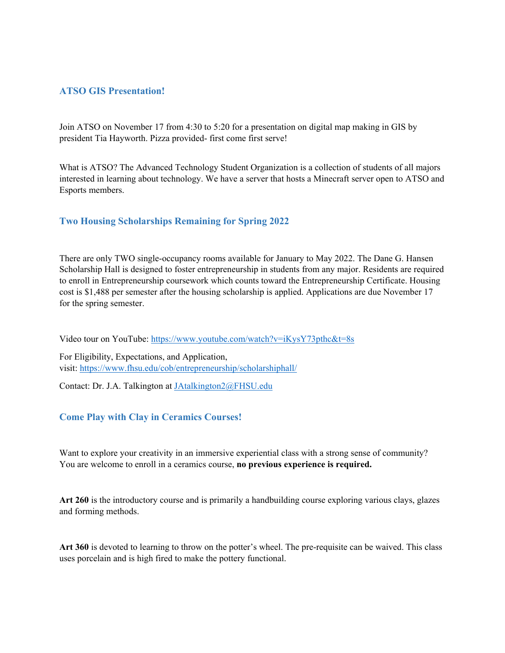### **ATSO GIS Presentation!**

Join ATSO on November 17 from 4:30 to 5:20 for a presentation on digital map making in GIS by president Tia Hayworth. Pizza provided- first come first serve!

What is ATSO? The Advanced Technology Student Organization is a collection of students of all majors interested in learning about technology. We have a server that hosts a Minecraft server open to ATSO and Esports members.

### **Two Housing Scholarships Remaining for Spring 2022**

There are only TWO single-occupancy rooms available for January to May 2022. The Dane G. Hansen Scholarship Hall is designed to foster entrepreneurship in students from any major. Residents are required to enroll in Entrepreneurship coursework which counts toward the Entrepreneurship Certificate. Housing cost is \$1,488 per semester after the housing scholarship is applied. Applications are due November 17 for the spring semester.

Video tour on YouTube: https://www.youtube.com/watch?v=iKysY73pthc&t=8s

For Eligibility, Expectations, and Application, visit: https://www.fhsu.edu/cob/entrepreneurship/scholarshiphall/

Contact: Dr. J.A. Talkington at JAtalkington2@FHSU.edu

#### **Come Play with Clay in Ceramics Courses!**

Want to explore your creativity in an immersive experiential class with a strong sense of community? You are welcome to enroll in a ceramics course, **no previous experience is required.**

**Art 260** is the introductory course and is primarily a handbuilding course exploring various clays, glazes and forming methods.

**Art 360** is devoted to learning to throw on the potter's wheel. The pre-requisite can be waived. This class uses porcelain and is high fired to make the pottery functional.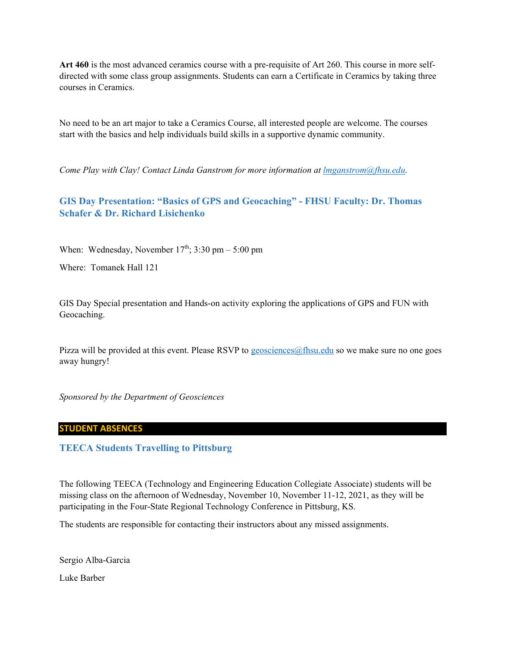**Art 460** is the most advanced ceramics course with a pre-requisite of Art 260. This course in more selfdirected with some class group assignments. Students can earn a Certificate in Ceramics by taking three courses in Ceramics.

No need to be an art major to take a Ceramics Course, all interested people are welcome. The courses start with the basics and help individuals build skills in a supportive dynamic community.

*Come Play with Clay! Contact Linda Ganstrom for more information at lmganstrom@fhsu.edu.* 

# **GIS Day Presentation: "Basics of GPS and Geocaching" - FHSU Faculty: Dr. Thomas Schafer & Dr. Richard Lisichenko**

When: Wednesday, November  $17<sup>th</sup>$ ; 3:30 pm – 5:00 pm

Where: Tomanek Hall 121

GIS Day Special presentation and Hands-on activity exploring the applications of GPS and FUN with Geocaching.

Pizza will be provided at this event. Please RSVP to geosciences  $\omega$  fhsu.edu so we make sure no one goes away hungry!

*Sponsored by the Department of Geosciences* 

#### **STUDENT ABSENCES**

#### **TEECA Students Travelling to Pittsburg**

The following TEECA (Technology and Engineering Education Collegiate Associate) students will be missing class on the afternoon of Wednesday, November 10, November 11-12, 2021, as they will be participating in the Four-State Regional Technology Conference in Pittsburg, KS.

The students are responsible for contacting their instructors about any missed assignments.

Sergio Alba-Garcia Luke Barber